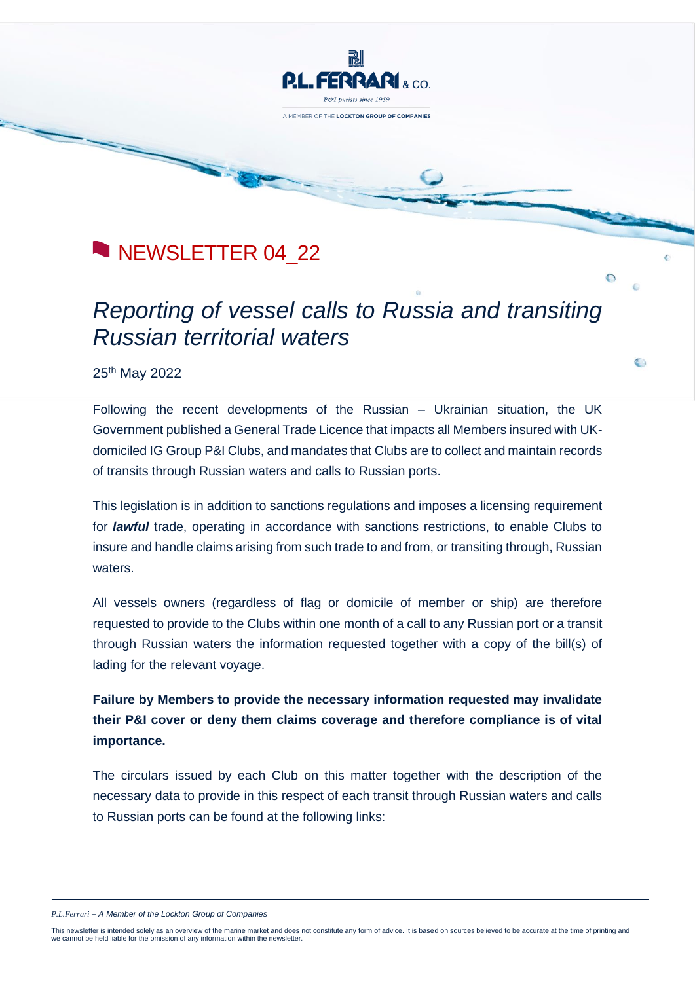## NEWSLETTER 04 22

# *Reporting of vessel calls to Russia and transiting Russian territorial waters*

 $\bullet$ 

ri **P.L.FERRARI** P&I purists since 1959 A MEMBER OF THE LOCKTON GROUP OF COMPANIES

25<sup>th</sup> May 2022

Following the recent developments of the Russian – Ukrainian situation, the UK Government published a General Trade Licence that impacts all Members insured with UKdomiciled IG Group P&I Clubs, and mandates that Clubs are to collect and maintain records of transits through Russian waters and calls to Russian ports.

This legislation is in addition to sanctions regulations and imposes a licensing requirement for *lawful* trade, operating in accordance with sanctions restrictions, to enable Clubs to insure and handle claims arising from such trade to and from, or transiting through, Russian waters.

All vessels owners (regardless of flag or domicile of member or ship) are therefore requested to provide to the Clubs within one month of a call to any Russian port or a transit through Russian waters the information requested together with a copy of the bill(s) of lading for the relevant voyage.

**Failure by Members to provide the necessary information requested may invalidate their P&I cover or deny them claims coverage and therefore compliance is of vital importance.**

The circulars issued by each Club on this matter together with the description of the necessary data to provide in this respect of each transit through Russian waters and calls to Russian ports can be found at the following links:

*P.L.Ferrari – A Member of the Lockton Group of Companies* 

This newsletter is intended solely as an overview of the marine market and does not constitute any form of advice. It is based on sources believed to be accurate at the time of printing and we cannot be held liable for the omission of any information within the newsletter.